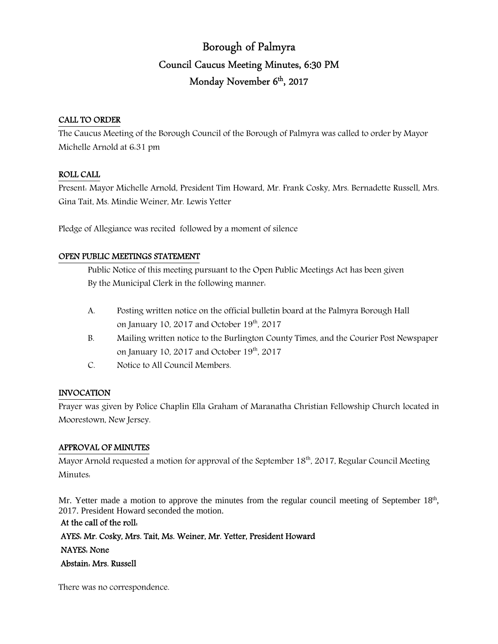# Borough of Palmyra Council Caucus Meeting Minutes, 6:30 PM Monday November 6<sup>th</sup>, 2017

### CALL TO ORDER

The Caucus Meeting of the Borough Council of the Borough of Palmyra was called to order by Mayor Michelle Arnold at 6:31 pm

#### ROLL CALL

Present: Mayor Michelle Arnold, President Tim Howard, Mr. Frank Cosky, Mrs. Bernadette Russell, Mrs. Gina Tait, Ms. Mindie Weiner, Mr. Lewis Yetter

Pledge of Allegiance was recited followed by a moment of silence

### OPEN PUBLIC MEETINGS STATEMENT

 Public Notice of this meeting pursuant to the Open Public Meetings Act has been given By the Municipal Clerk in the following manner:

- A. Posting written notice on the official bulletin board at the Palmyra Borough Hall on January 10, 2017 and October  $19<sup>th</sup>$ , 2017
- B. Mailing written notice to the Burlington County Times, and the Courier Post Newspaper on January 10, 2017 and October  $19<sup>th</sup>$ , 2017
- C. Notice to All Council Members.

#### INVOCATION

Prayer was given by Police Chaplin Ella Graham of Maranatha Christian Fellowship Church located in Moorestown, New Jersey.

### APPROVAL OF MINUTES

Mayor Arnold requested a motion for approval of the September  $18<sup>th</sup>$ , 2017, Regular Council Meeting Minutes:

Mr. Yetter made a motion to approve the minutes from the regular council meeting of September 18<sup>th</sup>, 2017. President Howard seconded the motion.

At the call of the roll: AYES: Mr. Cosky, Mrs. Tait, Ms. Weiner, Mr. Yetter, President Howard NAYES: None Abstain: Mrs. Russell

There was no correspondence.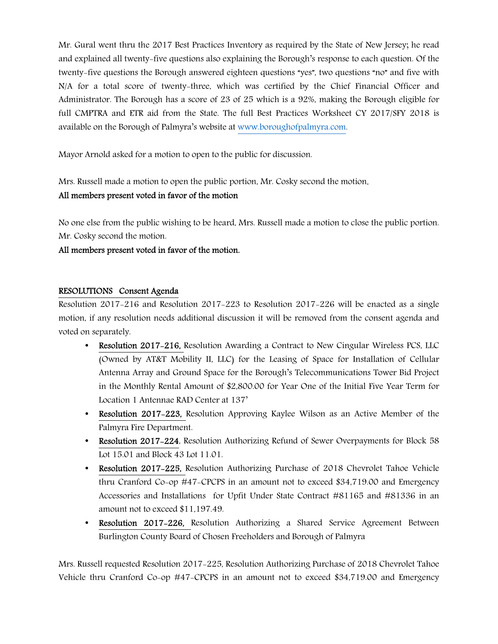Mr. Gural went thru the 2017 Best Practices Inventory as required by the State of New Jersey; he read and explained all twenty-five questions also explaining the Borough's response to each question. Of the twenty-five questions the Borough answered eighteen questions "yes", two questions "no" and five with N/A for a total score of twenty-three, which was certified by the Chief Financial Officer and Administrator. The Borough has a score of 23 of 25 which is a 92%, making the Borough eligible for full CMPTRA and ETR aid from the State. The full Best Practices Worksheet CY 2017/SFY 2018 is available on the Borough of Palmyra's website at www.boroughofpalmyra.com.

Mayor Arnold asked for a motion to open to the public for discussion.

Mrs. Russell made a motion to open the public portion, Mr. Cosky second the motion.

## All members present voted in favor of the motion

No one else from the public wishing to be heard, Mrs. Russell made a motion to close the public portion. Mr. Cosky second the motion.

## All members present voted in favor of the motion.

### RESOLUTIONS Consent Agenda

Resolution 2017-216 and Resolution 2017-223 to Resolution 2017-226 will be enacted as a single motion, if any resolution needs additional discussion it will be removed from the consent agenda and voted on separately.

- Resolution 2017–216, Resolution Awarding a Contract to New Cingular Wireless PCS, LLC (Owned by AT&T Mobility II, LLC) for the Leasing of Space for Installation of Cellular Antenna Array and Ground Space for the Borough's Telecommunications Tower Bid Project in the Monthly Rental Amount of \$2,800.00 for Year One of the Initial Five Year Term for Location 1 Antennae RAD Center at 137'
- **Resolution 2017–223, Resolution Approving Kaylee Wilson as an Active Member of the** Palmyra Fire Department.
- Resolution 2017-224, Resolution Authorizing Refund of Sewer Overpayments for Block 58 Lot 15.01 and Block 43 Lot 11.01.
- Resolution 2017-225, Resolution Authorizing Purchase of 2018 Chevrolet Tahoe Vehicle thru Cranford Co-op #47-CPCPS in an amount not to exceed \$34,719.00 and Emergency Accessories and Installations for Upfit Under State Contract #81165 and #81336 in an amount not to exceed \$11,197.49.
- Resolution 2017-226, Resolution Authorizing a Shared Service Agreement Between Burlington County Board of Chosen Freeholders and Borough of Palmyra

Mrs. Russell requested Resolution 2017-225, Resolution Authorizing Purchase of 2018 Chevrolet Tahoe Vehicle thru Cranford Co-op #47-CPCPS in an amount not to exceed \$34,719.00 and Emergency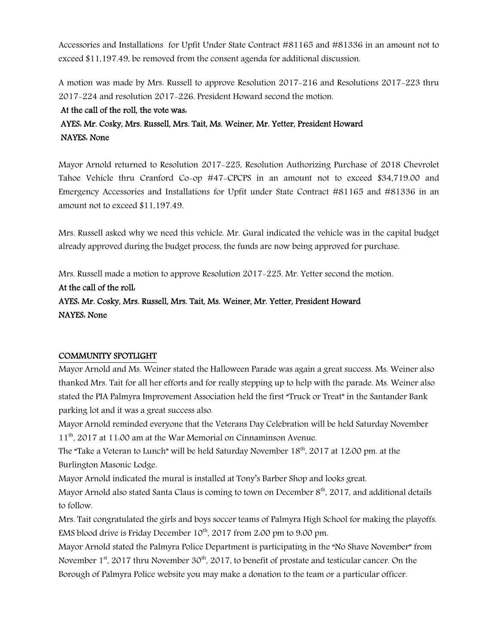Accessories and Installations for Upfit Under State Contract #81165 and #81336 in an amount not to exceed \$11,197.49, be removed from the consent agenda for additional discussion.

A motion was made by Mrs. Russell to approve Resolution 2017-216 and Resolutions 2017-223 thru 2017-224 and resolution 2017-226. President Howard second the motion.

## At the call of the roll, the vote was:

# AYES: Mr. Cosky, Mrs. Russell, Mrs. Tait, Ms. Weiner, Mr. Yetter, President Howard NAYES: None

Mayor Arnold returned to Resolution 2017-225, Resolution Authorizing Purchase of 2018 Chevrolet Tahoe Vehicle thru Cranford Co-op #47-CPCPS in an amount not to exceed \$34,719.00 and Emergency Accessories and Installations for Upfit under State Contract #81165 and #81336 in an amount not to exceed \$11,197.49.

Mrs. Russell asked why we need this vehicle. Mr. Gural indicated the vehicle was in the capital budget already approved during the budget process, the funds are now being approved for purchase.

Mrs. Russell made a motion to approve Resolution 2017-225. Mr. Yetter second the motion.

# At the call of the roll:

# AYES: Mr. Cosky, Mrs. Russell, Mrs. Tait, Ms. Weiner, Mr. Yetter, President Howard NAYES: None

# COMMUNITY SPOTLIGHT

Mayor Arnold and Ms. Weiner stated the Halloween Parade was again a great success. Ms. Weiner also thanked Mrs. Tait for all her efforts and for really stepping up to help with the parade. Ms. Weiner also stated the PIA Palmyra Improvement Association held the first "Truck or Treat" in the Santander Bank parking lot and it was a great success also.

Mayor Arnold reminded everyone that the Veterans Day Celebration will be held Saturday November 11th, 2017 at 11:00 am at the War Memorial on Cinnaminson Avenue.

The "Take a Veteran to Lunch" will be held Saturday November 18<sup>th</sup>, 2017 at 12:00 pm. at the Burlington Masonic Lodge.

Mayor Arnold indicated the mural is installed at Tony's Barber Shop and looks great.

Mayor Arnold also stated Santa Claus is coming to town on December 8<sup>th</sup>, 2017, and additional details to follow.

Mrs. Tait congratulated the girls and boys soccer teams of Palmyra High School for making the playoffs. EMS blood drive is Friday December  $10^{th}$ , 2017 from 2:00 pm to 9:00 pm.

Mayor Arnold stated the Palmyra Police Department is participating in the "No Shave November" from November  $1<sup>st</sup>$ , 2017 thru November 30<sup>th</sup>, 2017, to benefit of prostate and testicular cancer. On the Borough of Palmyra Police website you may make a donation to the team or a particular officer.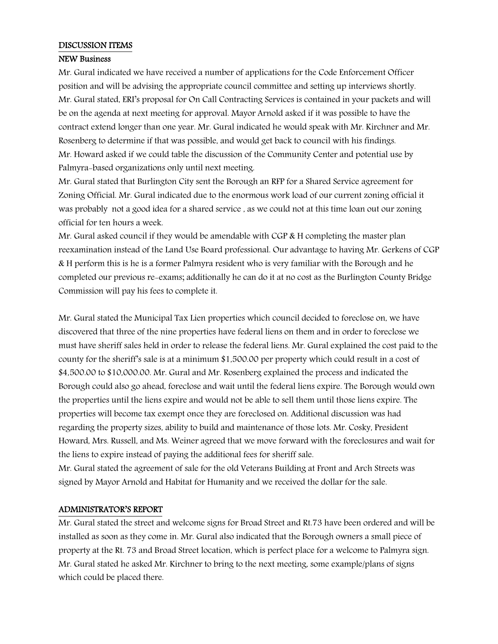#### DISCUSSION ITEMS

#### NEW Business

Mr. Gural indicated we have received a number of applications for the Code Enforcement Officer position and will be advising the appropriate council committee and setting up interviews shortly. Mr. Gural stated, ERI's proposal for On Call Contracting Services is contained in your packets and will be on the agenda at next meeting for approval. Mayor Arnold asked if it was possible to have the contract extend longer than one year. Mr. Gural indicated he would speak with Mr. Kirchner and Mr. Rosenberg to determine if that was possible, and would get back to council with his findings. Mr. Howard asked if we could table the discussion of the Community Center and potential use by Palmyra-based organizations only until next meeting.

Mr. Gural stated that Burlington City sent the Borough an RFP for a Shared Service agreement for Zoning Official. Mr. Gural indicated due to the enormous work load of our current zoning official it was probably not a good idea for a shared service , as we could not at this time loan out our zoning official for ten hours a week.

Mr. Gural asked council if they would be amendable with CGP & H completing the master plan reexamination instead of the Land Use Board professional. Our advantage to having Mr. Gerkens of CGP & H perform this is he is a former Palmyra resident who is very familiar with the Borough and he completed our previous re-exams; additionally he can do it at no cost as the Burlington County Bridge Commission will pay his fees to complete it.

Mr. Gural stated the Municipal Tax Lien properties which council decided to foreclose on, we have discovered that three of the nine properties have federal liens on them and in order to foreclose we must have sheriff sales held in order to release the federal liens. Mr. Gural explained the cost paid to the county for the sheriff's sale is at a minimum \$1,500.00 per property which could result in a cost of \$4,500.00 to \$10,000.00. Mr. Gural and Mr. Rosenberg explained the process and indicated the Borough could also go ahead, foreclose and wait until the federal liens expire. The Borough would own the properties until the liens expire and would not be able to sell them until those liens expire. The properties will become tax exempt once they are foreclosed on. Additional discussion was had regarding the property sizes, ability to build and maintenance of those lots. Mr. Cosky, President Howard, Mrs. Russell, and Ms. Weiner agreed that we move forward with the foreclosures and wait for the liens to expire instead of paying the additional fees for sheriff sale.

Mr. Gural stated the agreement of sale for the old Veterans Building at Front and Arch Streets was signed by Mayor Arnold and Habitat for Humanity and we received the dollar for the sale.

#### ADMINISTRATOR'S REPORT

Mr. Gural stated the street and welcome signs for Broad Street and Rt.73 have been ordered and will be installed as soon as they come in. Mr. Gural also indicated that the Borough owners a small piece of property at the Rt. 73 and Broad Street location, which is perfect place for a welcome to Palmyra sign. Mr. Gural stated he asked Mr. Kirchner to bring to the next meeting, some example/plans of signs which could be placed there.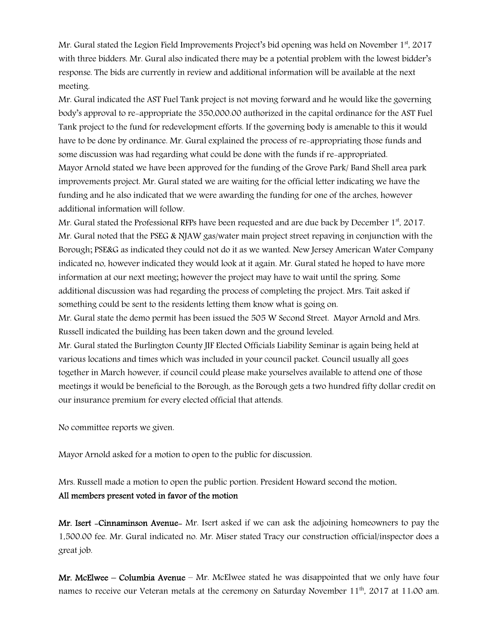Mr. Gural stated the Legion Field Improvements Project's bid opening was held on November  $1<sup>st</sup>$ , 2017 with three bidders. Mr. Gural also indicated there may be a potential problem with the lowest bidder's response. The bids are currently in review and additional information will be available at the next meeting.

Mr. Gural indicated the AST Fuel Tank project is not moving forward and he would like the governing body's approval to re-appropriate the 350,000.00 authorized in the capital ordinance for the AST Fuel Tank project to the fund for redevelopment efforts. If the governing body is amenable to this it would have to be done by ordinance. Mr. Gural explained the process of re-appropriating those funds and some discussion was had regarding what could be done with the funds if re-appropriated. Mayor Arnold stated we have been approved for the funding of the Grove Park/ Band Shell area park improvements project. Mr. Gural stated we are waiting for the official letter indicating we have the funding and he also indicated that we were awarding the funding for one of the arches, however additional information will follow.

Mr. Gural stated the Professional RFPs have been requested and are due back by December  $1<sup>st</sup>$ , 2017. Mr. Gural noted that the PSEG & NJAW gas/water main project street repaving in conjunction with the Borough; PSE&G as indicated they could not do it as we wanted. New Jersey American Water Company indicated no, however indicated they would look at it again. Mr. Gural stated he hoped to have more information at our next meeting; however the project may have to wait until the spring. Some additional discussion was had regarding the process of completing the project. Mrs. Tait asked if something could be sent to the residents letting them know what is going on.

Mr. Gural state the demo permit has been issued the 505 W Second Street. Mayor Arnold and Mrs. Russell indicated the building has been taken down and the ground leveled.

Mr. Gural stated the Burlington County JIF Elected Officials Liability Seminar is again being held at various locations and times which was included in your council packet. Council usually all goes together in March however, if council could please make yourselves available to attend one of those meetings it would be beneficial to the Borough, as the Borough gets a two hundred fifty dollar credit on our insurance premium for every elected official that attends.

No committee reports we given.

Mayor Arnold asked for a motion to open to the public for discussion.

Mrs. Russell made a motion to open the public portion. President Howard second the motion. All members present voted in favor of the motion

Mr. Isert -Cinnaminson Avenue- Mr. Isert asked if we can ask the adjoining homeowners to pay the 1,500.00 fee. Mr. Gural indicated no. Mr. Miser stated Tracy our construction official/inspector does a great job.

Mr. McElwee – Columbia Avenue – Mr. McElwee stated he was disappointed that we only have four names to receive our Veteran metals at the ceremony on Saturday November 11<sup>th</sup>, 2017 at 11:00 am.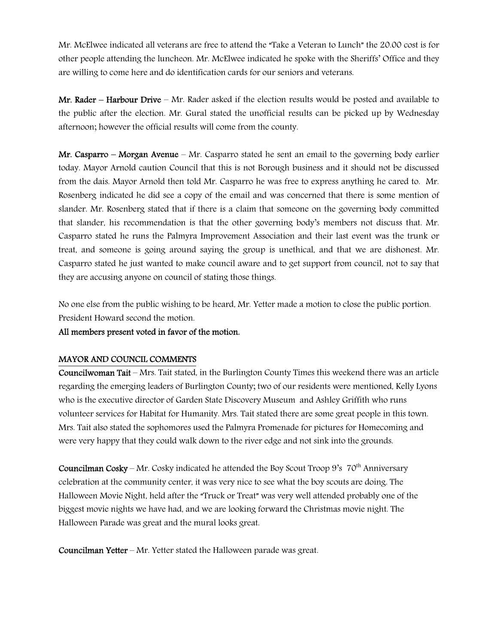Mr. McElwee indicated all veterans are free to attend the "Take a Veteran to Lunch" the 20.00 cost is for other people attending the luncheon. Mr. McElwee indicated he spoke with the Sheriffs' Office and they are willing to come here and do identification cards for our seniors and veterans.

Mr. Rader – Harbour Drive – Mr. Rader asked if the election results would be posted and available to the public after the election. Mr. Gural stated the unofficial results can be picked up by Wednesday afternoon; however the official results will come from the county.

Mr. Casparro – Morgan Avenue – Mr. Casparro stated he sent an email to the governing body earlier today. Mayor Arnold caution Council that this is not Borough business and it should not be discussed from the dais. Mayor Arnold then told Mr. Casparro he was free to express anything he cared to. Mr. Rosenberg indicated he did see a copy of the email and was concerned that there is some mention of slander. Mr. Rosenberg stated that if there is a claim that someone on the governing body committed that slander, his recommendation is that the other governing body's members not discuss that. Mr. Casparro stated he runs the Palmyra Improvement Association and their last event was the trunk or treat, and someone is going around saying the group is unethical, and that we are dishonest. Mr. Casparro stated he just wanted to make council aware and to get support from council, not to say that they are accusing anyone on council of stating those things.

No one else from the public wishing to be heard, Mr. Yetter made a motion to close the public portion. President Howard second the motion.

All members present voted in favor of the motion.

### MAYOR AND COUNCIL COMMENTS

Councilwoman Tait – Mrs. Tait stated, in the Burlington County Times this weekend there was an article regarding the emerging leaders of Burlington County; two of our residents were mentioned, Kelly Lyons who is the executive director of Garden State Discovery Museum and Ashley Griffith who runs volunteer services for Habitat for Humanity. Mrs. Tait stated there are some great people in this town. Mrs. Tait also stated the sophomores used the Palmyra Promenade for pictures for Homecoming and were very happy that they could walk down to the river edge and not sink into the grounds.

**Councilman Cosky** – Mr. Cosky indicated he attended the Boy Scout Troop 9's  $70<sup>th</sup>$  Anniversary celebration at the community center, it was very nice to see what the boy scouts are doing. The Halloween Movie Night, held after the "Truck or Treat" was very well attended probably one of the biggest movie nights we have had, and we are looking forward the Christmas movie night. The Halloween Parade was great and the mural looks great.

Councilman Yetter – Mr. Yetter stated the Halloween parade was great.